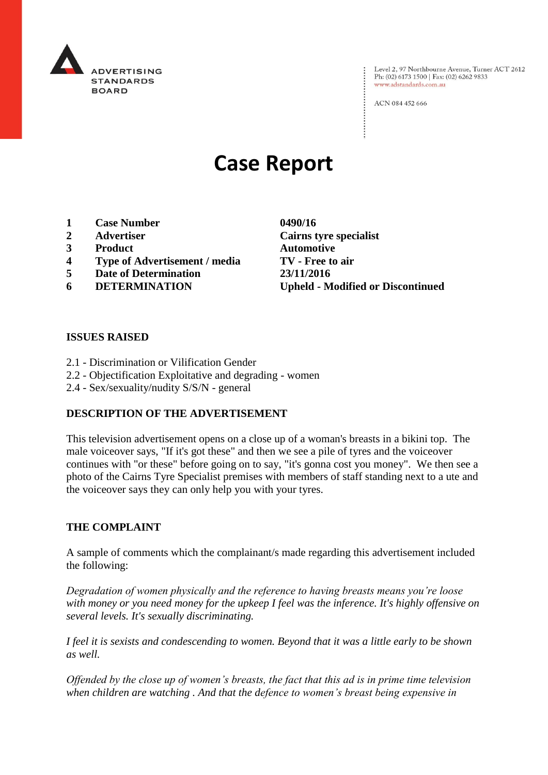

Level 2, 97 Northbourne Avenue, Turner ACT 2612 Ph: (02) 6173 1500 | Fax: (02) 6262 9833 www.adstandards.com.au

ACN 084 452 666

# **Case Report**

- **1 Case Number 0490/16**
- 
- **3 Product Automotive**
- **4 Type of Advertisement / media TV - Free to air**
- **5 Date of Determination 23/11/2016**
- 

**2 Advertiser Cairns tyre specialist 6 DETERMINATION Upheld - Modified or Discontinued**

 $\vdots$ 

#### **ISSUES RAISED**

- 2.1 Discrimination or Vilification Gender
- 2.2 Objectification Exploitative and degrading women
- 2.4 Sex/sexuality/nudity S/S/N general

# **DESCRIPTION OF THE ADVERTISEMENT**

This television advertisement opens on a close up of a woman's breasts in a bikini top. The male voiceover says, "If it's got these" and then we see a pile of tyres and the voiceover continues with "or these" before going on to say, "it's gonna cost you money". We then see a photo of the Cairns Tyre Specialist premises with members of staff standing next to a ute and the voiceover says they can only help you with your tyres.

#### **THE COMPLAINT**

A sample of comments which the complainant/s made regarding this advertisement included the following:

*Degradation of women physically and the reference to having breasts means you're loose with money or you need money for the upkeep I feel was the inference. It's highly offensive on several levels. It's sexually discriminating.*

*I feel it is sexists and condescending to women. Beyond that it was a little early to be shown as well.*

*Offended by the close up of women's breasts, the fact that this ad is in prime time television when children are watching . And that the defence to women's breast being expensive in*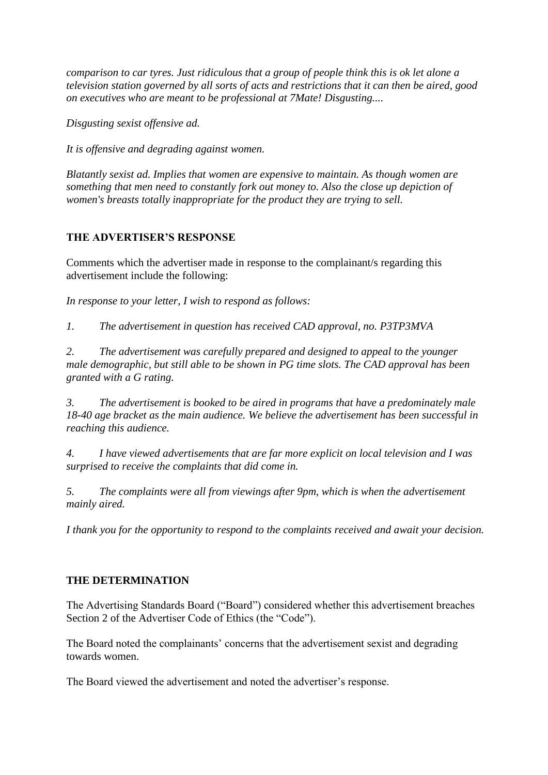*comparison to car tyres. Just ridiculous that a group of people think this is ok let alone a television station governed by all sorts of acts and restrictions that it can then be aired, good on executives who are meant to be professional at 7Mate! Disgusting....*

*Disgusting sexist offensive ad.*

*It is offensive and degrading against women.*

*Blatantly sexist ad. Implies that women are expensive to maintain. As though women are something that men need to constantly fork out money to. Also the close up depiction of women's breasts totally inappropriate for the product they are trying to sell.*

# **THE ADVERTISER'S RESPONSE**

Comments which the advertiser made in response to the complainant/s regarding this advertisement include the following:

*In response to your letter, I wish to respond as follows:*

*1. The advertisement in question has received CAD approval, no. P3TP3MVA*

*2. The advertisement was carefully prepared and designed to appeal to the younger male demographic, but still able to be shown in PG time slots. The CAD approval has been granted with a G rating.*

*3. The advertisement is booked to be aired in programs that have a predominately male 18-40 age bracket as the main audience. We believe the advertisement has been successful in reaching this audience.*

*4. I have viewed advertisements that are far more explicit on local television and I was surprised to receive the complaints that did come in.*

*5. The complaints were all from viewings after 9pm, which is when the advertisement mainly aired.*

*I thank you for the opportunity to respond to the complaints received and await your decision.*

# **THE DETERMINATION**

The Advertising Standards Board ("Board") considered whether this advertisement breaches Section 2 of the Advertiser Code of Ethics (the "Code").

The Board noted the complainants' concerns that the advertisement sexist and degrading towards women.

The Board viewed the advertisement and noted the advertiser's response.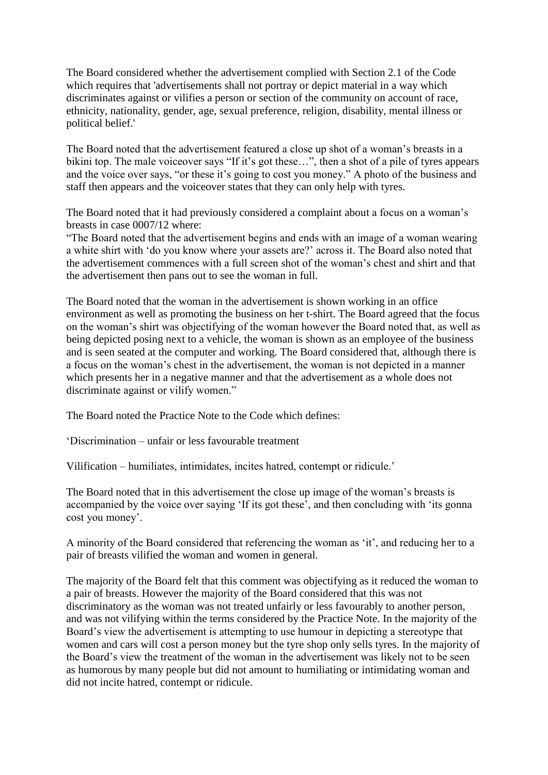The Board considered whether the advertisement complied with Section 2.1 of the Code which requires that 'advertisements shall not portray or depict material in a way which discriminates against or vilifies a person or section of the community on account of race, ethnicity, nationality, gender, age, sexual preference, religion, disability, mental illness or political belief.'

The Board noted that the advertisement featured a close up shot of a woman's breasts in a bikini top. The male voiceover says "If it's got these…", then a shot of a pile of tyres appears and the voice over says, "or these it's going to cost you money." A photo of the business and staff then appears and the voiceover states that they can only help with tyres.

The Board noted that it had previously considered a complaint about a focus on a woman's breasts in case 0007/12 where:

"The Board noted that the advertisement begins and ends with an image of a woman wearing a white shirt with 'do you know where your assets are?' across it. The Board also noted that the advertisement commences with a full screen shot of the woman's chest and shirt and that the advertisement then pans out to see the woman in full.

The Board noted that the woman in the advertisement is shown working in an office environment as well as promoting the business on her t-shirt. The Board agreed that the focus on the woman's shirt was objectifying of the woman however the Board noted that, as well as being depicted posing next to a vehicle, the woman is shown as an employee of the business and is seen seated at the computer and working. The Board considered that, although there is a focus on the woman's chest in the advertisement, the woman is not depicted in a manner which presents her in a negative manner and that the advertisement as a whole does not discriminate against or vilify women."

The Board noted the Practice Note to the Code which defines:

'Discrimination – unfair or less favourable treatment

Vilification – humiliates, intimidates, incites hatred, contempt or ridicule.'

The Board noted that in this advertisement the close up image of the woman's breasts is accompanied by the voice over saying 'If its got these', and then concluding with 'its gonna cost you money'.

A minority of the Board considered that referencing the woman as 'it', and reducing her to a pair of breasts vilified the woman and women in general.

The majority of the Board felt that this comment was objectifying as it reduced the woman to a pair of breasts. However the majority of the Board considered that this was not discriminatory as the woman was not treated unfairly or less favourably to another person, and was not vilifying within the terms considered by the Practice Note. In the majority of the Board's view the advertisement is attempting to use humour in depicting a stereotype that women and cars will cost a person money but the tyre shop only sells tyres. In the majority of the Board's view the treatment of the woman in the advertisement was likely not to be seen as humorous by many people but did not amount to humiliating or intimidating woman and did not incite hatred, contempt or ridicule.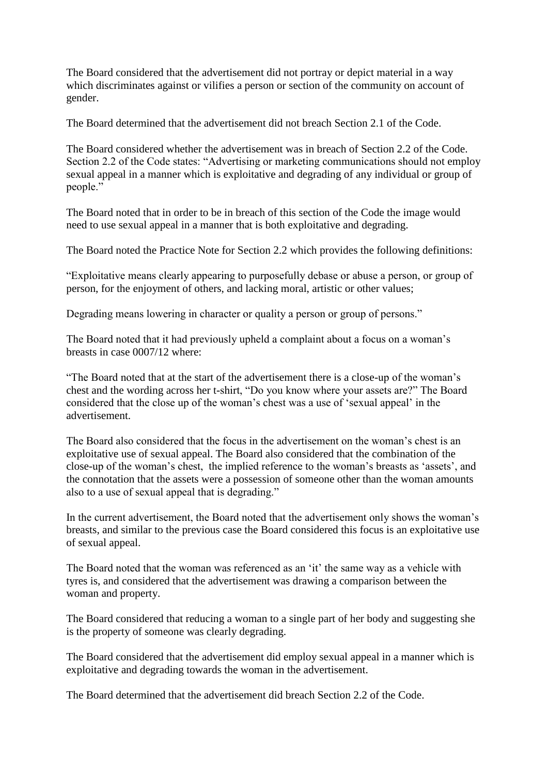The Board considered that the advertisement did not portray or depict material in a way which discriminates against or vilifies a person or section of the community on account of gender.

The Board determined that the advertisement did not breach Section 2.1 of the Code.

The Board considered whether the advertisement was in breach of Section 2.2 of the Code. Section 2.2 of the Code states: "Advertising or marketing communications should not employ sexual appeal in a manner which is exploitative and degrading of any individual or group of people."

The Board noted that in order to be in breach of this section of the Code the image would need to use sexual appeal in a manner that is both exploitative and degrading.

The Board noted the Practice Note for Section 2.2 which provides the following definitions:

"Exploitative means clearly appearing to purposefully debase or abuse a person, or group of person, for the enjoyment of others, and lacking moral, artistic or other values;

Degrading means lowering in character or quality a person or group of persons."

The Board noted that it had previously upheld a complaint about a focus on a woman's breasts in case 0007/12 where:

"The Board noted that at the start of the advertisement there is a close-up of the woman's chest and the wording across her t-shirt, "Do you know where your assets are?" The Board considered that the close up of the woman's chest was a use of 'sexual appeal' in the advertisement.

The Board also considered that the focus in the advertisement on the woman's chest is an exploitative use of sexual appeal. The Board also considered that the combination of the close-up of the woman's chest, the implied reference to the woman's breasts as 'assets', and the connotation that the assets were a possession of someone other than the woman amounts also to a use of sexual appeal that is degrading."

In the current advertisement, the Board noted that the advertisement only shows the woman's breasts, and similar to the previous case the Board considered this focus is an exploitative use of sexual appeal.

The Board noted that the woman was referenced as an 'it' the same way as a vehicle with tyres is, and considered that the advertisement was drawing a comparison between the woman and property.

The Board considered that reducing a woman to a single part of her body and suggesting she is the property of someone was clearly degrading.

The Board considered that the advertisement did employ sexual appeal in a manner which is exploitative and degrading towards the woman in the advertisement.

The Board determined that the advertisement did breach Section 2.2 of the Code.